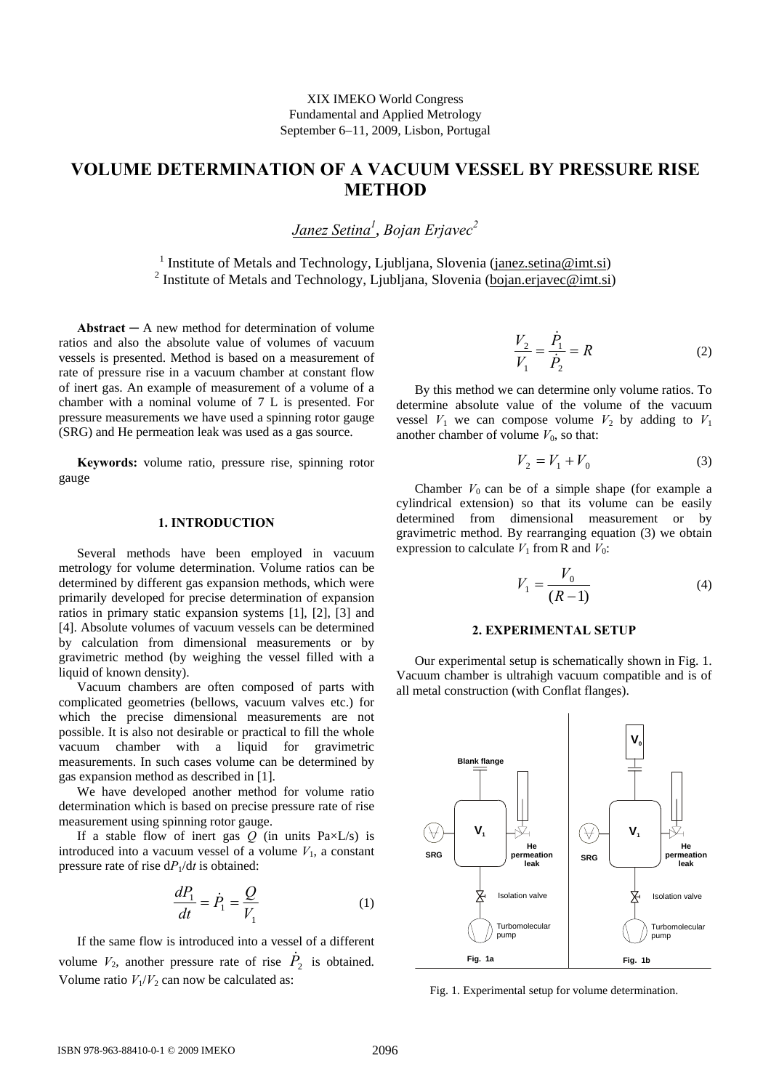# **VOLUME DETERMINATION OF A VACUUM VESSEL BY PRESSURE RISE METHOD**

*Janez Setina1* , *Bojan Erjavec2*

<sup>1</sup> Institute of Metals and Technology, Ljubljana, Slovenia (janez.setina@imt.si) <sup>2</sup> Institute of Metals and Technology, Ljubljana, Slovenia (bojan.erjavec@imt.si)

**Abstract**  $-$  A new method for determination of volume ratios and also the absolute value of volumes of vacuum vessels is presented. Method is based on a measurement of rate of pressure rise in a vacuum chamber at constant flow of inert gas. An example of measurement of a volume of a chamber with a nominal volume of 7 L is presented. For pressure measurements we have used a spinning rotor gauge (SRG) and He permeation leak was used as a gas source.

**Keywords:** volume ratio, pressure rise, spinning rotor gauge

#### **1. INTRODUCTION**

Several methods have been employed in vacuum metrology for volume determination. Volume ratios can be determined by different gas expansion methods, which were primarily developed for precise determination of expansion ratios in primary static expansion systems [1], [2], [3] and [4]. Absolute volumes of vacuum vessels can be determined by calculation from dimensional measurements or by gravimetric method (by weighing the vessel filled with a liquid of known density).

Vacuum chambers are often composed of parts with complicated geometries (bellows, vacuum valves etc.) for which the precise dimensional measurements are not possible. It is also not desirable or practical to fill the whole vacuum chamber with a liquid for gravimetric measurements. In such cases volume can be determined by gas expansion method as described in [1].

We have developed another method for volume ratio determination which is based on precise pressure rate of rise measurement using spinning rotor gauge.

If a stable flow of inert gas  $Q$  (in units Pa $\times L/s$ ) is introduced into a vacuum vessel of a volume  $V_1$ , a constant pressure rate of rise d*P*1/d*t* is obtained:

$$
\frac{dP_1}{dt} = \dot{P}_1 = \frac{Q}{V_1} \tag{1}
$$

If the same flow is introduced into a vessel of a different volume  $V_2$ , another pressure rate of rise  $\dot{P}_2$  is obtained. Volume ratio  $V_1/V_2$  can now be calculated as:

$$
\frac{V_2}{V_1} = \frac{\dot{P}_1}{\dot{P}_2} = R
$$
 (2)

By this method we can determine only volume ratios. To determine absolute value of the volume of the vacuum vessel  $V_1$  we can compose volume  $V_2$  by adding to  $V_1$ another chamber of volume  $V_0$ , so that:

$$
V_2 = V_1 + V_0 \t\t(3)
$$

Chamber  $V_0$  can be of a simple shape (for example a cylindrical extension) so that its volume can be easily determined from dimensional measurement or by gravimetric method. By rearranging equation (3) we obtain expression to calculate  $V_1$  from R and  $V_0$ :

$$
V_1 = \frac{V_0}{(R-1)}
$$
 (4)

## **2. EXPERIMENTAL SETUP**

Our experimental setup is schematically shown in Fig. 1. Vacuum chamber is ultrahigh vacuum compatible and is of all metal construction (with Conflat flanges).



Fig. 1. Experimental setup for volume determination.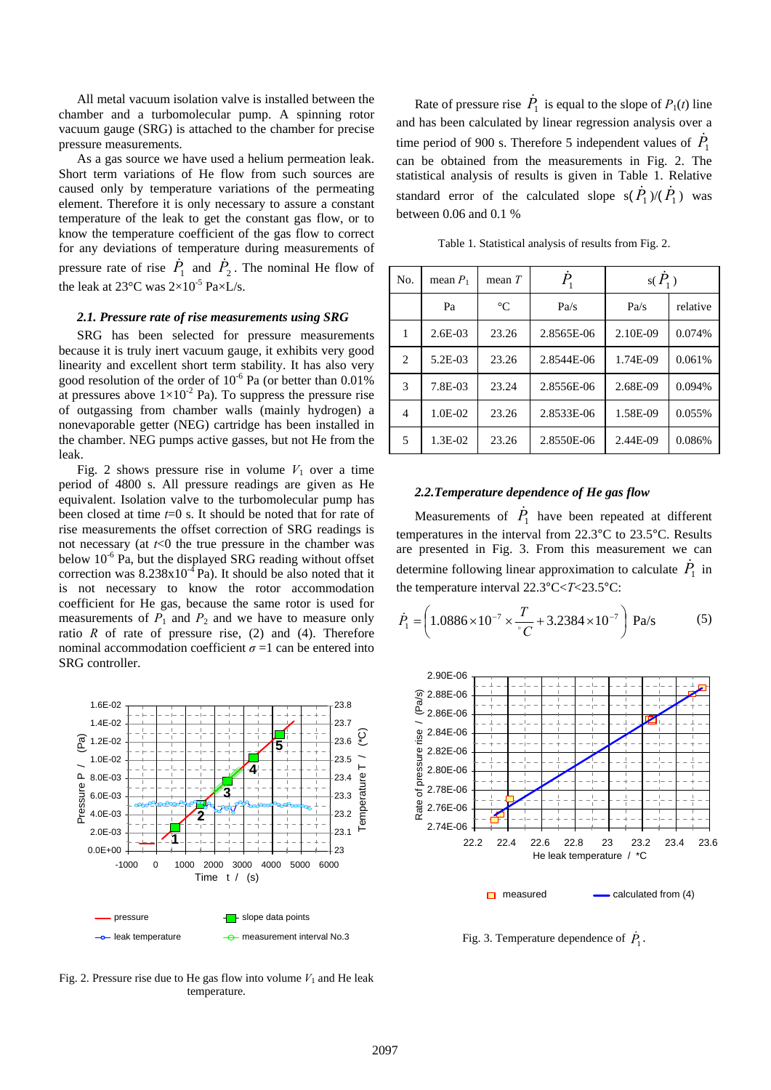All metal vacuum isolation valve is installed between the chamber and a turbomolecular pump. A spinning rotor vacuum gauge (SRG) is attached to the chamber for precise pressure measurements.

As a gas source we have used a helium permeation leak. Short term variations of He flow from such sources are caused only by temperature variations of the permeating element. Therefore it is only necessary to assure a constant temperature of the leak to get the constant gas flow, or to know the temperature coefficient of the gas flow to correct for any deviations of temperature during measurements of pressure rate of rise  $\dot{P}_1$  and  $\dot{P}_2$ . The nominal He flow of the leak at 23 $^{\circ}$ C was  $2\times10^{-5}$  Pa $\times$ L/s.

# *2.1. Pressure rate of rise measurements using SRG*

SRG has been selected for pressure measurements because it is truly inert vacuum gauge, it exhibits very good linearity and excellent short term stability. It has also very good resolution of the order of  $10^{-6}$  Pa (or better than 0.01%) at pressures above  $1\times10^{-2}$  Pa). To suppress the pressure rise of outgassing from chamber walls (mainly hydrogen) a nonevaporable getter (NEG) cartridge has been installed in the chamber. NEG pumps active gasses, but not He from the leak.

Fig. 2 shows pressure rise in volume  $V_1$  over a time period of 4800 s. All pressure readings are given as He equivalent. Isolation valve to the turbomolecular pump has been closed at time *t*=0 s. It should be noted that for rate of rise measurements the offset correction of SRG readings is not necessary (at *t*<0 the true pressure in the chamber was below  $10^{-6}$  Pa, but the displayed SRG reading without offset correction was  $8.238x10^{-4}$  Pa). It should be also noted that it is not necessary to know the rotor accommodation coefficient for He gas, because the same rotor is used for measurements of  $P_1$  and  $P_2$  and we have to measure only ratio  $R$  of rate of pressure rise, (2) and (4). Therefore nominal accommodation coefficient  $\sigma = 1$  can be entered into SRG controller.



Rate of pressure rise  $\dot{P}_1$  is equal to the slope of  $P_1(t)$  line and has been calculated by linear regression analysis over a time period of 900 s. Therefore 5 independent values of  $\dot{P}_1$ can be obtained from the measurements in Fig. 2. The statistical analysis of results is given in Table 1. Relative standard error of the calculated slope  $s(\dot{P}_1)/(\dot{P}_1)$  was between 0.06 and 0.1 %

Table 1. Statistical analysis of results from Fig. 2.

| No.                           | mean $P_1$ | mean $T$        | $P_{\scriptscriptstyle{1}}$ | $s(P_1)$ |          |
|-------------------------------|------------|-----------------|-----------------------------|----------|----------|
|                               | Pa         | $\rm ^{\circ}C$ | Pa/s                        | Pa/s     | relative |
| $\mathbf{1}$                  | $2.6E-03$  | 23.26           | 2.8565E-06                  | 2.10E-09 | 0.074%   |
| $\mathfrak{D}_{\mathfrak{p}}$ | $5.2E-03$  | 23.26           | 2.8544E-06                  | 1.74E-09 | 0.061%   |
| 3                             | 7.8E-03    | 23.24           | 2.8556E-06                  | 2.68E-09 | 0.094%   |
| $\overline{4}$                | $1.0E-02$  | 23.26           | 2.8533E-06                  | 1.58E-09 | 0.055%   |
| 5                             | 1.3E-02    | 23.26           | 2.8550E-06                  | 2.44E-09 | 0.086%   |

#### *2.2.Temperature dependence of He gas flow*

Measurements of  $\dot{P}_1$  have been repeated at different temperatures in the interval from 22.3°C to 23.5°C. Results are presented in Fig. 3. From this measurement we can determine following linear approximation to calculate  $\dot{P}_1$  in the temperature interval 22.3°C<*T*<23.5°C:

$$
\dot{P}_1 = \left(1.0886 \times 10^{-7} \times \frac{T}{C} + 3.2384 \times 10^{-7}\right) \text{ Pa/s}
$$
 (5)



Fig. 3. Temperature dependence of  $\dot{P}_1$ .

Fig. 2. Pressure rise due to He gas flow into volume  $V_1$  and He leak temperature.